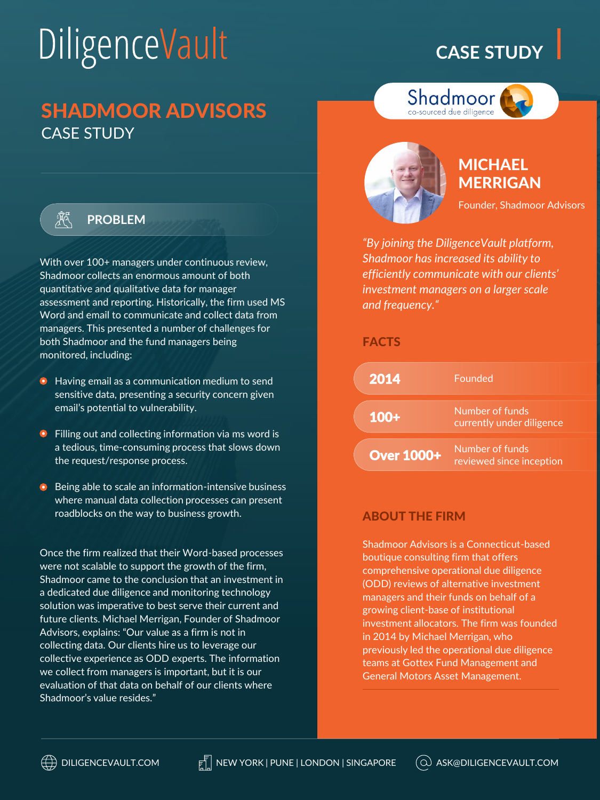# DiligenceVault

# **CASE STUDY**

# SHADMOOR ADVISORS CASE STUDY



### **PROBLEM**

With over 100+ managers under continuous review, Shadmoor collects an enormous amount of both quantitative and qualitative data for manager assessment and reporting. Historically, the firm used MS Word and email to communicate and collect data from managers. This presented a number of challenges for both Shadmoor and the fund managers being monitored, including:

- **•** Having email as a communication medium to send sensitive data, presenting a security concern given email's potential to vulnerability.
- $\bullet$  Filling out and collecting information via ms word is a tedious, time-consuming process that slows down the request/response process.
- **•** Being able to scale an information-intensive business where manual data collection processes can present roadblocks on the way to business growth.

Once the firm realized that their Word-based processes were not scalable to support the growth of the firm, Shadmoor came to the conclusion that an investment in a dedicated due diligence and monitoring technology solution was imperative to best serve their current and future clients. Michael Merrigan, Founder of Shadmoor Advisors, explains: "Our value as a firm is not in collecting data. Our clients hire us to leverage our collective experience as ODD experts. The information we collect from managers is important, but it is our evaluation of that data on behalf of our clients where Shadmoor's value resides."



## MICHAEL **MERRIGAN**

Founder, Shadmoor Advisors

*"By joining the DiligenceVault platform, Shadmoor has increased its ability to efficiently communicate with our clients' investment managers on a larger scale and frequency."* 

Shadmoor co-sourced due diligence

### FACTS

| 2014              | Founded                                      |
|-------------------|----------------------------------------------|
| $100+$            | Number of funds<br>currently under diligence |
| <b>Over 1000+</b> | Number of funds<br>reviewed since inception  |

### ABOUT THE FIRM

Shadmoor Advisors is a Connecticut-based boutique consulting firm that offers comprehensive operational due diligence (ODD) reviews of alternative investment managers and their funds on behalf of a growing client-base of institutional investment allocators. The firm was founded in 2014 by Michael Merrigan, who previously led the operational due diligence teams at Gottex Fund Management and General Motors Asset Management.